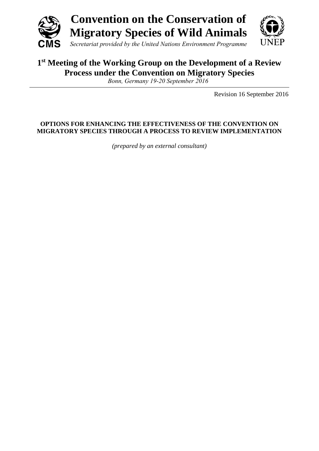

# **1 st Meeting of the Working Group on the Development of a Review Process under the Convention on Migratory Species**

*Bonn, Germany 19-20 September 2016*

Revision 16 September 2016

# **OPTIONS FOR ENHANCING THE EFFECTIVENESS OF THE CONVENTION ON MIGRATORY SPECIES THROUGH A PROCESS TO REVIEW IMPLEMENTATION**

*(prepared by an external consultant)*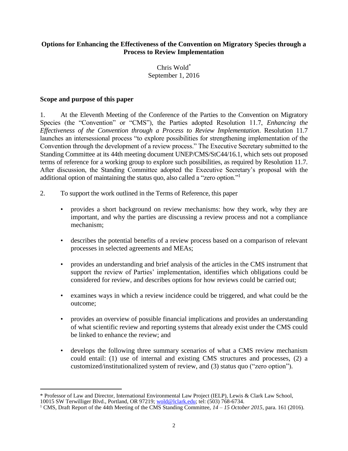#### **Options for Enhancing the Effectiveness of the Convention on Migratory Species through a Process to Review Implementation**

Chris Wold\* September 1, 2016

#### **Scope and purpose of this paper**

1. At the Eleventh Meeting of the Conference of the Parties to the Convention on Migratory Species (the "Convention" or "CMS"), the Parties adopted Resolution 11.7, *Enhancing the Effectiveness of the Convention through a Process to Review Implementation*. Resolution 11.7 launches an intersessional process "to explore possibilities for strengthening implementation of the Convention through the development of a review process." The Executive Secretary submitted to the Standing Committee at its 44th meeting document UNEP/CMS/StC44/16.1, which sets out proposed terms of reference for a working group to explore such possibilities, as required by Resolution 11.7. After discussion, the Standing Committee adopted the Executive Secretary's proposal with the additional option of maintaining the status quo, also called a "zero option."<sup>1</sup>

- 2. To support the work outlined in the Terms of Reference, this paper
	- provides a short background on review mechanisms: how they work, why they are important, and why the parties are discussing a review process and not a compliance mechanism;
	- describes the potential benefits of a review process based on a comparison of relevant processes in selected agreements and MEAs;
	- provides an understanding and brief analysis of the articles in the CMS instrument that support the review of Parties' implementation, identifies which obligations could be considered for review, and describes options for how reviews could be carried out;
	- examines ways in which a review incidence could be triggered, and what could be the outcome;
	- provides an overview of possible financial implications and provides an understanding of what scientific review and reporting systems that already exist under the CMS could be linked to enhance the review; and
	- develops the following three summary scenarios of what a CMS review mechanism could entail: (1) use of internal and existing CMS structures and processes, (2) a customized/institutionalized system of review, and (3) status quo ("zero option").

 $\overline{a}$ \* Professor of Law and Director, International Environmental Law Project (IELP), Lewis & Clark Law School, 10015 SW Terwilliger Blvd., Portland, OR 97219; [wold@lclark.edu;](mailto:wold@lclark.edu) tel: (503) 768-6734.

<sup>1</sup> CMS, Draft Report of the 44th Meeting of the CMS Standing Committee, *14 – 15 October 2015*, para. 161 (2016).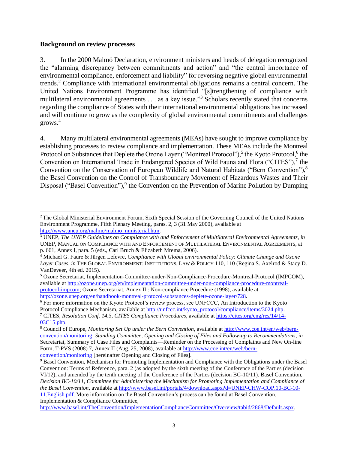#### **Background on review processes**

3. In the 2000 Malmö Declaration, environment ministers and heads of delegation recognized the "alarming discrepancy between commitments and action" and "the central importance of environmental compliance, enforcement and liability" for reversing negative global environmental trends.<sup>2</sup> Compliance with international environmental obligations remains a central concern. The United Nations Environment Programme has identified "[s]trengthening of compliance with multilateral environmental agreements . . . as a key issue."<sup>3</sup> Scholars recently stated that concerns regarding the compliance of States with their international environmental obligations has increased and will continue to grow as the complexity of global environmental commitments and challenges grows. 4

4. Many multilateral environmental agreements (MEAs) have sought to improve compliance by establishing processes to review compliance and implementation. These MEAs include the Montreal Protocol on Substances that Deplete the Ozone Layer ("Montreal Protocol"),<sup>5</sup> the Kyoto Protocol,<sup>6</sup> the Convention on International Trade in Endangered Species of Wild Fauna and Flora ("CITES"),<sup>7</sup> the Convention on the Conservation of European Wildlife and Natural Habitats ("Bern Convention"),<sup>8</sup> the Basel Convention on the Control of Transboundary Movement of Hazardous Wastes and Their Disposal ("Basel Convention"),<sup>9</sup> the Convention on the Prevention of Marine Pollution by Dumping

[11.English.pdf.](http://www.basel.int/portals/4/download.aspx?d=UNEP-CHW-COP.10-BC-10-11.English.pdf) More information on the Basel Convention's process can be found at Basel Convention, Implementation & Compliance Committee,

 $\overline{a}$ <sup>2</sup> The Global Ministerial Environment Forum, Sixth Special Session of the Governing Council of the United Nations Environment Programme, Fifth Plenary Meeting, paras. 2, 3 (31 May 2000), available at [http://www.unep.org/malmo/malmo\\_ministerial.htm.](http://www.unep.org/malmo/malmo_ministerial.htm)

<sup>3</sup> UNEP, *The UNEP Guidelines on Compliance with and Enforcement of Multilateral Environmental Agreements*, *in*  UNEP, MANUAL ON COMPLIANCE WITH AND ENFORCEMENT OF MULTILATERAL ENVIRONMENTAL AGREEMENTS, at p. 661, Annex I, para. 5 (eds., Carl Bruch & Elizabeth Mrema, 2006).

<sup>4</sup> Michael G. Faure & Jürgen Lefevre, *Compliance with Global environmental Policy: Climate Change and Ozone Layer Cases*, *in* THE GLOBAL ENVIRONMENT: INSTITUTIONS, LAW & POLICY 110, 110 (Regina S. Axelrod & Stacy D. VanDeveer, 4th ed. 2015).

**<sup>5</sup>** Ozone Secretariat, Implementation-Committee-under-Non-Compliance-Procedure-Montreal-Protocol (IMPCOM), available at [http://ozone.unep.org/en/implementation-committee-under-non-compliance-procedure-montreal](http://ozone.unep.org/en/implementation-committee-under-non-compliance-procedure-montreal-protocol-impcom)[protocol-impcom;](http://ozone.unep.org/en/implementation-committee-under-non-compliance-procedure-montreal-protocol-impcom) Ozone Secretariat, Annex II : Non-compliance Procedure (1998), available at [http://ozone.unep.org/en/handbook-montreal-protocol-substances-deplete-ozone-layer/728.](http://ozone.unep.org/en/handbook-montreal-protocol-substances-deplete-ozone-layer/728)

<sup>6</sup> For more information on the Kyoto Protocol's review process, see UNFCCC, An Introduction to the Kyoto

Protocol Compliance Mechanism, available a[t http://unfccc.int/kyoto\\_protocol/compliance/items/3024.php.](http://unfccc.int/kyoto_protocol/compliance/items/3024.php) <sup>7</sup> CITES, *Resolution Conf. 14.3, CITES Compliance Procedures*, available a[t https://cites.org/eng/res/14/14-](https://cites.org/eng/res/14/14-03C15.php)

[<sup>03</sup>C15.php.](https://cites.org/eng/res/14/14-03C15.php) <sup>8</sup> Council of Europe, *Monitoring Set Up under the Bern Convention*, available a[t http://www.coe.int/en/web/bern-](http://www.coe.int/en/web/bern-convention/monitoring)

[convention/monitoring;](http://www.coe.int/en/web/bern-convention/monitoring) *Standing Committee, Opening and Closing of Files and Follow-up to Recommendations*, *in*  Secretariat, Summary of Case Files and Complaints—Reminder on the Processing of Complaints and New On-line Form, T-PVS (2008) 7, Annex II (Aug. 25, 2008), available at [http://www.coe.int/en/web/bern](http://www.coe.int/en/web/bern-convention/monitoring)[convention/monitoring](http://www.coe.int/en/web/bern-convention/monitoring) [hereinafter Opening and Closing of Files].

<sup>9</sup> Basel Convention, Mechanism for Promoting Implementation and Compliance with the Obligations under the Basel Convention: Terms of Reference, para. 2 (as adopted by the sixth meeting of the Conference of the Parties (decision VI/12), and amended by the tenth meeting of the Conference of the Parties (decision BC-10/11). Basel Convention, *Decision BC-10/11, Committee for Administering the Mechanism for Promoting Implementation and Compliance of the Basel Convention*, available at [http://www.basel.int/portals/4/download.aspx?d=UNEP-CHW-COP.10-BC-10-](http://www.basel.int/portals/4/download.aspx?d=UNEP-CHW-COP.10-BC-10-11.English.pdf)

[http://www.basel.int/TheConvention/ImplementationComplianceCommittee/Overview/tabid/2868/Default.aspx.](http://www.basel.int/TheConvention/ImplementationComplianceCommittee/Overview/tabid/2868/Default.aspx)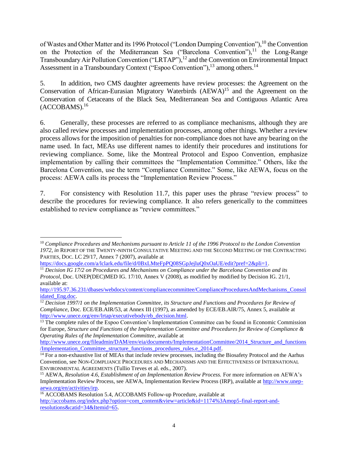of Wastes and Other Matter and its 1996 Protocol ("London Dumping Convention"),<sup>10</sup> the Convention on the Protection of the Mediterranean Sea ("Barcelona Convention"), $11$  the Long-Range Transboundary Air Pollution Convention ("LRTAP"),<sup>12</sup> and the Convention on Environmental Impact Assessment in a Transboundary Context ("Espoo Convention"),  $^{13}$  among others.<sup>14</sup>

5. In addition, two CMS daughter agreements have review processes: the Agreement on the Conservation of African-Eurasian Migratory Waterbirds (AEWA)<sup>15</sup> and the Agreement on the Conservation of Cetaceans of the Black Sea, Mediterranean Sea and Contiguous Atlantic Area  $(ACCOBAMS).<sup>16</sup>$ 

6. Generally, these processes are referred to as compliance mechanisms, although they are also called review processes and implementation processes, among other things. Whether a review process allows for the imposition of penalties for non-compliance does not have any bearing on the name used. In fact, MEAs use different names to identify their procedures and institutions for reviewing compliance. Some, like the Montreal Protocol and Espoo Convention, emphasize implementation by calling their committees the "Implementation Committee." Others, like the Barcelona Convention, use the term "Compliance Committee." Some, like AEWA, focus on the process: AEWA calls its process the "Implementation Review Process."

7. For consistency with Resolution 11.7, this paper uses the phrase "review process" to describe the procedures for reviewing compliance. It also refers generically to the committees established to review compliance as "review committees."

 $\overline{a}$ <sup>10</sup> *Compliance Procedures and Mechanisms pursuant to Article 11 of the 1996 Protocol to the London Convention 1972*, *in* REPORT OF THE TWENTY-NINTH CONSULTATIVE MEETING AND THE SECOND MEETING OF THE CONTRACTING PARTIES, DOC. LC 29/17, Annex 7 (2007), available at

https://docs.google.com/a/lclark.edu/file/d/0BxLMteFpPO08SGpJejluO0xOaUE/edit?pref=2&pli=1.

<sup>&</sup>lt;sup>11</sup> Decision IG 17/2 on Procedures and Mechanisms on Compliance under the Barcelona Convention and its *Protocol*, Doc. UNEP(DEC)MED IG. 17/10, Annex V (2008), as modified by modified by Decision IG. 21/1, available at:

[http://195.97.36.231/dbases/webdocs/content/compliancecommittee/ComplianceProceduresAndMechanisms\\_Consol](http://195.97.36.231/dbases/webdocs/content/compliancecommittee/ComplianceProceduresAndMechanisms_Consolidated_Eng.doc) [idated\\_Eng.doc.](http://195.97.36.231/dbases/webdocs/content/compliancecommittee/ComplianceProceduresAndMechanisms_Consolidated_Eng.doc)

<sup>&</sup>lt;sup>12</sup> Decision 1997/1 on the Implementation Committee, its Structure and Functions and Procedures for Review of *Compliance*, Doc. ECE/EB.AIR/53, at Annex III (1997), as amended by ECE/EB.AIR/75, Annex 5, available at [http://www.unece.org/env/lrtap/executivebody/eb\\_decision.html.](http://www.unece.org/env/lrtap/executivebody/eb_decision.html)

<sup>&</sup>lt;sup>13</sup> The complete rules of the Espoo Convention's Implementation Committee can be found in Economic Commission for Europe, *Structure and Functions of the Implementation Committee and Procedures for Review of Compliance & Operating Rules of the Implementation Committee*, available at

http://www.unece.org/fileadmin/DAM/env/eia/documents/ImplementationCommittee/2014 Structure\_and\_functions [/Implementation\\_Committee\\_structure\\_functions\\_procedures\\_rules.e\\_2014.pdf.](http://www.unece.org/fileadmin/DAM/env/eia/documents/ImplementationCommittee/2014_Structure_and_functions/Implementation_Committee_structure_functions_procedures_rules.e_2014.pdf) 

 $14$  For a non-exhaustive list of MEAs that include review processes, including the Biosafety Protocol and the Aarhus Convention, see NON-COMPLIANCE PROCEDURES AND MECHANISMS AND THE EFFECTIVENESS OF INTERNATIONAL ENVIRONMENTAL AGREEMENTS (Tullio Treves et al. eds., 2007).

<sup>&</sup>lt;sup>15</sup> AEWA, *Resolution 4.6, Establishment of an Implementation Review Process. For more information on AEWA's* Implementation Review Process, see AEWA, Implementation Review Process (IRP), available at [http://www.unep](http://www.unep-aewa.org/en/activities/irp)[aewa.org/en/activities/irp.](http://www.unep-aewa.org/en/activities/irp)

<sup>&</sup>lt;sup>16</sup> ACCOBAMS Resolution 5.4, ACCOBAMS Follow-up Procedure, available at [http://accobams.org/index.php?option=com\\_content&view=article&id=1174%3Amop5-final-report-and](http://accobams.org/index.php?option=com_content&view=article&id=1174%3Amop5-final-report-and-resolutions&catid=34&Itemid=65)[resolutions&catid=34&Itemid=65.](http://accobams.org/index.php?option=com_content&view=article&id=1174%3Amop5-final-report-and-resolutions&catid=34&Itemid=65)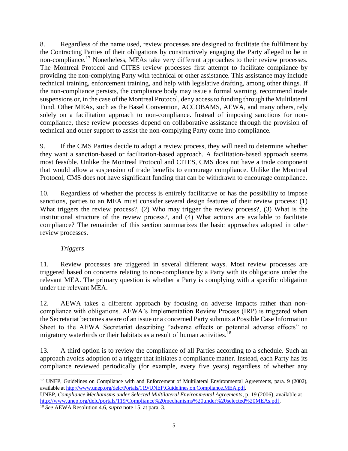8. Regardless of the name used, review processes are designed to facilitate the fulfilment by the Contracting Parties of their obligations by constructively engaging the Party alleged to be in non-compliance.<sup>17</sup> Nonetheless, MEAs take very different approaches to their review processes. The Montreal Protocol and CITES review processes first attempt to facilitate compliance by providing the non-complying Party with technical or other assistance. This assistance may include technical training, enforcement training, and help with legislative drafting, among other things. If the non-compliance persists, the compliance body may issue a formal warning, recommend trade suspensions or, in the case of the Montreal Protocol, deny access to funding through the Multilateral Fund. Other MEAs, such as the Basel Convention, ACCOBAMS, AEWA, and many others, rely solely on a facilitation approach to non-compliance. Instead of imposing sanctions for noncompliance, these review processes depend on collaborative assistance through the provision of technical and other support to assist the non-complying Party come into compliance.

9. If the CMS Parties decide to adopt a review process, they will need to determine whether they want a sanction-based or facilitation-based approach. A facilitation-based approach seems most feasible. Unlike the Montreal Protocol and CITES, CMS does not have a trade component that would allow a suspension of trade benefits to encourage compliance. Unlike the Montreal Protocol, CMS does not have significant funding that can be withdrawn to encourage compliance.

10. Regardless of whether the process is entirely facilitative or has the possibility to impose sanctions, parties to an MEA must consider several design features of their review process: (1) What triggers the review process?, (2) Who may trigger the review process?, (3) What is the institutional structure of the review process?, and (4) What actions are available to facilitate compliance? The remainder of this section summarizes the basic approaches adopted in other review processes.

# *Triggers*

 $\overline{a}$ 

11. Review processes are triggered in several different ways. Most review processes are triggered based on concerns relating to non-compliance by a Party with its obligations under the relevant MEA. The primary question is whether a Party is complying with a specific obligation under the relevant MEA.

12. AEWA takes a different approach by focusing on adverse impacts rather than noncompliance with obligations. AEWA's Implementation Review Process (IRP) is triggered when the Secretariat becomes aware of an issue or a concerned Party submits a Possible Case Information Sheet to the AEWA Secretariat describing "adverse effects or potential adverse effects" to migratory waterbirds or their habitats as a result of human activities.<sup>18</sup>

13. A third option is to review the compliance of all Parties according to a schedule. Such an approach avoids adoption of a trigger that initiates a compliance matter. Instead, each Party has its compliance reviewed periodically (for example, every five years) regardless of whether any

<sup>&</sup>lt;sup>17</sup> UNEP, Guidelines on Compliance with and Enforcement of Multilateral Environmental Agreements, para. 9 (2002), available a[t http://www.unep.org/delc/Portals/119/UNEP.Guidelines.on.Compliance.MEA.pdf.](http://www.unep.org/delc/Portals/119/UNEP.Guidelines.on.Compliance.MEA.pdf) UNEP, *Compliance Mechanisms under Selected Multilateral Environmental Agreements*, p. 19 (2006), available at [http://www.unep.org/delc/portals/119/Compliance%20mechanisms%20under%20selected%20MEAs.pdf.](http://www.unep.org/delc/portals/119/Compliance%20mechanisms%20under%20selected%20MEAs.pdf)

<sup>18</sup> *See* AEWA Resolution 4.6, *supra* note 15, at para. 3.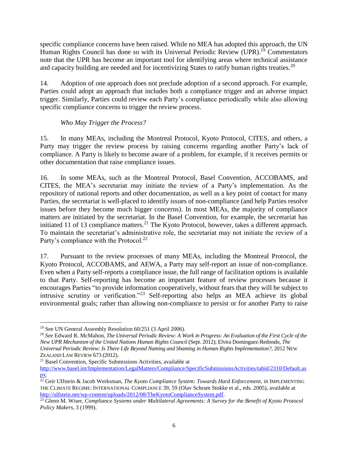specific compliance concerns have been raised. While no MEA has adopted this approach, the UN Human Rights Council has done so with its Universal Periodic Review (UPR).<sup>19</sup> Commentators note that the UPR has become an important tool for identifying areas where technical assistance and capacity building are needed and for incentivizing States to ratify human rights treaties.<sup>20</sup>

14. Adoption of one approach does not preclude adoption of a second approach. For example, Parties could adopt an approach that includes both a compliance trigger and an adverse impact trigger. Similarly, Parties could review each Party's compliance periodically while also allowing specific compliance concerns to trigger the review process.

# *Who May Trigger the Process?*

15. In many MEAs, including the Montreal Protocol, Kyoto Protocol, CITES, and others, a Party may trigger the review process by raising concerns regarding another Party's lack of compliance. A Party is likely to become aware of a problem, for example, if it receives permits or other documentation that raise compliance issues.

16. In some MEAs, such as the Montreal Protocol, Basel Convention, ACCOBAMS, and CITES, the MEA's secretariat may initiate the review of a Party's implementation. As the repository of national reports and other documentation, as well as a key point of contact for many Parties, the secretariat is well-placed to identify issues of non-compliance (and help Parties resolve issues before they become much bigger concerns). In most MEAs, the majority of compliance matters are initiated by the secretariat. In the Basel Convention, for example, the secretariat has initiated 11 of 13 compliance matters.<sup>21</sup> The Kyoto Protocol, however, takes a different approach. To maintain the secretariat's administrative role, the secretariat may not initiate the review of a Party's compliance with the Protocol.<sup>22</sup>

17. Pursuant to the review processes of many MEAs, including the Montreal Protocol, the Kyoto Protocol, ACCOBAMS, and AEWA, a Party may self-report an issue of non-compliance. Even when a Party self-reports a compliance issue, the full range of facilitation options is available to that Party. Self-reporting has become an important feature of review processes because it encourages Parties "to provide information cooperatively, without fears that they will be subject to intrusive scrutiny or verification."<sup>23</sup> Self-reporting also helps an MEA achieve its global environmental goals; rather than allowing non-compliance to persist or for another Party to raise

<sup>19</sup> See UN General Assembly Resolution 60/251 (3 April 2006).

<sup>20</sup> *See* Edward R. McMahon, *The Universal Periodic Review: A Work in Progress: An Evaluation of the First Cycle of the New UPR Mechanism of the United Nations Human Rights Council* (Sept. 2012); Elvira Dominguez-Redondo, *The Universal Periodic Review: Is There Life Beyond Naming and Shaming in Human Rights Implementation?*, 2012 NEW ZEALAND LAW REVIEW 673 (2012).

<sup>21</sup> Basel Convention, Specific Submissions Activities, available at

[http://www.basel.int/Implementation/LegalMatters/Compliance/SpecificSubmissionsActivities/tabid/2310/Default.as](http://www.basel.int/Implementation/LegalMatters/Compliance/SpecificSubmissionsActivities/tabid/2310/Default.aspx) [px.](http://www.basel.int/Implementation/LegalMatters/Compliance/SpecificSubmissionsActivities/tabid/2310/Default.aspx)

<sup>&</sup>lt;sup>22</sup> Geir Ulfstein & Jacob Werksman, *The Kyoto Compliance System: Towards Hard Enforcement*, *in* IMPLEMENTING THE CLIMATE REGIME: INTERNATIONAL COMPLIANCE 39, 59 (Olav Schram Stokke et al., eds. 2005), available at [http://ulfstein.net/wp-content/uploads/2012/08/TheKyotoComplianceSystem.pdf.](http://ulfstein.net/wp-content/uploads/2012/08/TheKyotoComplianceSystem.pdf)

<sup>23</sup> Glenn M. Wiser, *Compliance Systems under Multilateral Agreements: A Survey for the Benefit of Kyoto Protocol Policy Makers*, 3 (1999).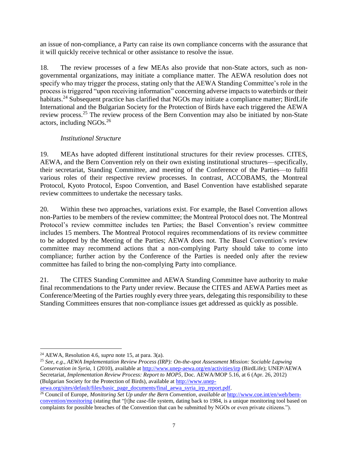an issue of non-compliance, a Party can raise its own compliance concerns with the assurance that it will quickly receive technical or other assistance to resolve the issue.

18. The review processes of a few MEAs also provide that non-State actors, such as nongovernmental organizations, may initiate a compliance matter. The AEWA resolution does not specify who may trigger the process, stating only that the AEWA Standing Committee's role in the process is triggered "upon receiving information" concerning adverse impacts to waterbirds or their habitats.<sup>24</sup> Subsequent practice has clarified that NGOs may initiate a compliance matter; BirdLife International and the Bulgarian Society for the Protection of Birds have each triggered the AEWA review process.<sup>25</sup> The review process of the Bern Convention may also be initiated by non-State actors, including NGOs. 26

# *Institutional Structure*

19. MEAs have adopted different institutional structures for their review processes. CITES, AEWA, and the Bern Convention rely on their own existing institutional structures—specifically, their secretariat, Standing Committee, and meeting of the Conference of the Parties—to fulfil various roles of their respective review processes. In contrast, ACCOBAMS, the Montreal Protocol, Kyoto Protocol, Espoo Convention, and Basel Convention have established separate review committees to undertake the necessary tasks.

20. Within these two approaches, variations exist. For example, the Basel Convention allows non-Parties to be members of the review committee; the Montreal Protocol does not. The Montreal Protocol's review committee includes ten Parties; the Basel Convention's review committee includes 15 members. The Montreal Protocol requires recommendations of its review committee to be adopted by the Meeting of the Parties; AEWA does not. The Basel Convention's review committee may recommend actions that a non-complying Party should take to come into compliance; further action by the Conference of the Parties is needed only after the review committee has failed to bring the non-complying Party into compliance.

21. The CITES Standing Committee and AEWA Standing Committee have authority to make final recommendations to the Party under review. Because the CITES and AEWA Parties meet as Conference/Meeting of the Parties roughly every three years, delegating this responsibility to these Standing Committees ensures that non-compliance issues get addressed as quickly as possible.

 $\overline{a}$ <sup>24</sup> AEWA, Resolution 4.6, *supra* note 15, at para. 3(a).

<sup>25</sup> *See*, *e.g*., *AEWA Implementation Review Process (IRP): On-the-spot Assessment Mission: Sociable Lapwing Conservation in Syria*, 1 (2010), available at<http://www.unep-aewa.org/en/activities/irp> (BirdLife); UNEP/AEWA Secretariat, *Implementation Review Process: Report to MOP5*, Doc. AEWA/MOP 5.16, at 6 (Apr. 26, 2012) (Bulgarian Society for the Protection of Birds), available at [http://www.unep](http://www.unep-aewa.org/sites/default/files/basic_page_documents/final_aewa_syria_irp_report.pdf)[aewa.org/sites/default/files/basic\\_page\\_documents/final\\_aewa\\_syria\\_irp\\_report.pdf.](http://www.unep-aewa.org/sites/default/files/basic_page_documents/final_aewa_syria_irp_report.pdf)

<sup>26</sup> Council of Europe, *Monitoring Set Up under the Bern Convention*, *available at* [http://www.coe.int/en/web/bern](http://www.coe.int/en/web/bern-convention/monitoring)[convention/monitoring](http://www.coe.int/en/web/bern-convention/monitoring) (stating that "[t]he case-file system, dating back to 1984, is a unique monitoring tool based on complaints for possible breaches of the Convention that can be submitted by NGOs or even private citizens.").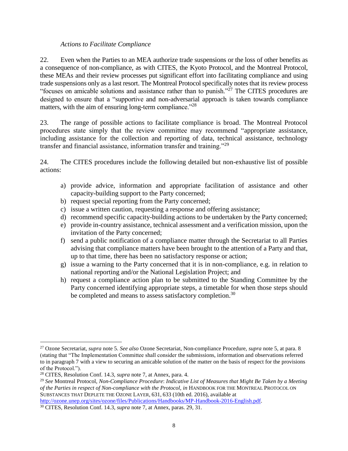#### *Actions to Facilitate Compliance*

22. Even when the Parties to an MEA authorize trade suspensions or the loss of other benefits as a consequence of non-compliance, as with CITES, the Kyoto Protocol, and the Montreal Protocol, these MEAs and their review processes put significant effort into facilitating compliance and using trade suspensions only as a last resort. The Montreal Protocol specifically notes that its review process "focuses on amicable solutions and assistance rather than to punish."<sup>27</sup> The CITES procedures are designed to ensure that a "supportive and non-adversarial approach is taken towards compliance matters, with the aim of ensuring long-term compliance.<sup>"28</sup>

23. The range of possible actions to facilitate compliance is broad. The Montreal Protocol procedures state simply that the review committee may recommend "appropriate assistance, including assistance for the collection and reporting of data, technical assistance, technology transfer and financial assistance, information transfer and training."<sup>29</sup>

24. The CITES procedures include the following detailed but non-exhaustive list of possible actions:

- a) provide advice, information and appropriate facilitation of assistance and other capacity-building support to the Party concerned;
- b) request special reporting from the Party concerned;
- c) issue a written caution, requesting a response and offering assistance;
- d) recommend specific capacity-building actions to be undertaken by the Party concerned;
- e) provide in-country assistance, technical assessment and a verification mission, upon the invitation of the Party concerned;
- f) send a public notification of a compliance matter through the Secretariat to all Parties advising that compliance matters have been brought to the attention of a Party and that, up to that time, there has been no satisfactory response or action;
- g) issue a warning to the Party concerned that it is in non-compliance, e.g. in relation to national reporting and/or the National Legislation Project; and
- h) request a compliance action plan to be submitted to the Standing Committee by the Party concerned identifying appropriate steps, a timetable for when those steps should be completed and means to assess satisfactory completion.<sup>30</sup>

<sup>27</sup> Ozone Secretariat, *supra* note 5. *See also* Ozone Secretariat, Non-compliance Procedure, *supra* note 5, at para. 8 (stating that "The Implementation Committee shall consider the submissions, information and observations referred to in paragraph 7 with a view to securing an amicable solution of the matter on the basis of respect for the provisions of the Protocol.").

<sup>28</sup> CITES, Resolution Conf. 14.3, *supra* note 7, at Annex, para. 4.

<sup>29</sup> *See* Montreal Protocol, *Non-Compliance Procedure*: *Indicative List of Measures that Might Be Taken by a Meeting of the Parties in respect of Non-compliance with the Protocol, in* HANDBOOK FOR THE MONTREAL PROTOCOL ON SUBSTANCES THAT DEPLETE THE OZONE LAYER, 631, 633 (10th ed. 2016), available at

[http://ozone.unep.org/sites/ozone/files/Publications/Handbooks/MP-Handbook-2016-English.pdf.](http://ozone.unep.org/sites/ozone/files/Publications/Handbooks/MP-Handbook-2016-English.pdf)

<sup>30</sup> CITES, Resolution Conf. 14.3, *supra* note 7, at Annex, paras. 29, 31.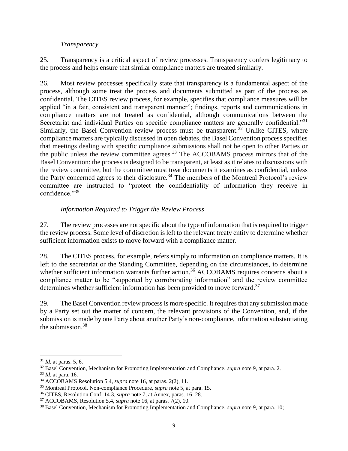### *Transparency*

25. Transparency is a critical aspect of review processes. Transparency confers legitimacy to the process and helps ensure that similar compliance matters are treated similarly.

26. Most review processes specifically state that transparency is a fundamental aspect of the process, although some treat the process and documents submitted as part of the process as confidential. The CITES review process, for example, specifies that compliance measures will be applied "in a fair, consistent and transparent manner"; findings, reports and communications in compliance matters are not treated as confidential, although communications between the Secretariat and individual Parties on specific compliance matters are generally confidential."<sup>31</sup> Similarly, the Basel Convention review process must be transparent.<sup>32</sup> Unlike CITES, where compliance matters are typically discussed in open debates, the Basel Convention process specifies that meetings dealing with specific compliance submissions shall not be open to other Parties or the public unless the review committee agrees.<sup>33</sup> The ACCOBAMS process mirrors that of the Basel Convention: the process is designed to be transparent, at least as it relates to discussions with the review committee, but the committee must treat documents it examines as confidential, unless the Party concerned agrees to their disclosure.<sup>34</sup> The members of the Montreal Protocol's review committee are instructed to "protect the confidentiality of information they receive in confidence."<sup>35</sup>

# *Information Required to Trigger the Review Process*

27. The review processes are not specific about the type of information that is required to trigger the review process. Some level of discretion is left to the relevant treaty entity to determine whether sufficient information exists to move forward with a compliance matter.

28. The CITES process, for example, refers simply to information on compliance matters. It is left to the secretariat or the Standing Committee, depending on the circumstances, to determine whether sufficient information warrants further action.<sup>36</sup> ACCOBAMS requires concerns about a compliance matter to be "supported by corroborating information" and the review committee determines whether sufficient information has been provided to move forward.<sup>37</sup>

29. The Basel Convention review process is more specific. It requires that any submission made by a Party set out the matter of concern, the relevant provisions of the Convention, and, if the submission is made by one Party about another Party's non-compliance, information substantiating the submission.<sup>38</sup>

<sup>31</sup> *Id.* at paras. 5, 6.

<sup>32</sup> Basel Convention, Mechanism for Promoting Implementation and Compliance, *supra* note 9, at para. 2.

<sup>33</sup> *Id.* at para. 16.

<sup>34</sup> ACCOBAMS Resolution 5.4, *supra* note 16, at paras. 2(2), 11.

<sup>35</sup> Montreal Protocol, Non-compliance Procedure, *supra* note 5, at para. 15.

<sup>36</sup> CITES, Resolution Conf. 14.3, *supra* note 7, at Annex, paras. 16–28.

<sup>37</sup> ACCOBAMS, Resolution 5.4, *supra* note 16, at paras. 7(2), 10.

<sup>38</sup> Basel Convention, Mechanism for Promoting Implementation and Compliance, *supra* note 9, at para. 10;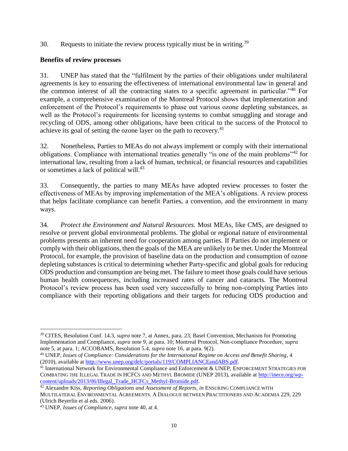30. Requests to initiate the review process typically must be in writing.<sup>39</sup>

#### **Benefits of review processes**

31. UNEP has stated that the "fulfilment by the parties of their obligations under multilateral agreements is key to ensuring the effectiveness of international environmental law in general and the common interest of all the contracting states to a specific agreement in particular."<sup>40</sup> For example, a comprehensive examination of the Montreal Protocol shows that implementation and enforcement of the Protocol's requirements to phase out various ozone depleting substances, as well as the Protocol's requirements for licensing systems to combat smuggling and storage and recycling of ODS, among other obligations, have been critical to the success of the Protocol to achieve its goal of setting the ozone layer on the path to recovery.<sup>41</sup>

32. Nonetheless, Parties to MEAs do not always implement or comply with their international obligations. Compliance with international treaties generally "is one of the main problems"<sup>42</sup> for international law, resulting from a lack of human, technical, or financial resources and capabilities or sometimes a lack of political will.<sup>43</sup>

33. Consequently, the parties to many MEAs have adopted review processes to foster the effectiveness of MEAs by improving implementation of the MEA's obligations. A review process that helps facilitate compliance can benefit Parties, a convention, and the environment in many ways.

34. *Protect the Environment and Natural Resources.* Most MEAs, like CMS, are designed to resolve or prevent global environmental problems. The global or regional nature of environmental problems presents an inherent need for cooperation among parties. If Parties do not implement or comply with their obligations, then the goals of the MEA are unlikely to be met. Under the Montreal Protocol, for example, the provision of baseline data on the production and consumption of ozone depleting substances is critical to determining whether Party-specific and global goals for reducing ODS production and consumption are being met. The failure to meet those goals could have serious human health consequences, including increased rates of cancer and cataracts. The Montreal Protocol's review process has been used very successfully to bring non-complying Parties into compliance with their reporting obligations and their targets for reducing ODS production and

<sup>39</sup> CITES, Resolution Conf. 14.3, *supra* note 7, at Annex, para. 23, Basel Convention, Mechanism for Promoting Implementation and Compliance, *supra* note 9, at para. 10; Montreal Protocol, Non-compliance Procedure, *supra*  note 5, at para. 1; ACCOBAMS, Resolution 5.4, *supra* note 16, at para. 9(2).

<sup>40</sup> UNEP*, Issues of Compliance: Considerations for the International Regime on Access and Benefit Sharing*, 4 (2010), available a[t http://www.unep.org/delc/portals/119/COMPLIANCEandABS.pdf.](http://www.unep.org/delc/portals/119/COMPLIANCEandABS.pdf)

<sup>41</sup> International Network for Environmental Compliance and Enforcement & UNEP, ENFORCEMENT STRATEGIES FOR COMBATING THE ILLEGAL TRADE IN HCFCS AND METHYL BROMIDE (UNEP 2013), available a[t http://inece.org/wp](http://inece.org/wp-content/uploads/2013/06/Illegal_Trade_HCFCs_Methyl-Bromide.pdf)[content/uploads/2013/06/Illegal\\_Trade\\_HCFCs\\_Methyl-Bromide.pdf.](http://inece.org/wp-content/uploads/2013/06/Illegal_Trade_HCFCs_Methyl-Bromide.pdf)

<sup>&</sup>lt;sup>42</sup> Alexandre Kiss, *Reporting Obligations and Assessment of Reports*, *in* ENSURING COMPLIANCE WITH MULTILATERAL ENVIRONMENTAL AGREEMENTS. A DIALOGUE BETWEEN PRACTITIONERS AND ACADEMIA 229, 229 (Ulrich Beyerlin et al eds. 2006).

<sup>43</sup> UNEP, *Issues of Compliance*, *supra* note 40, at 4.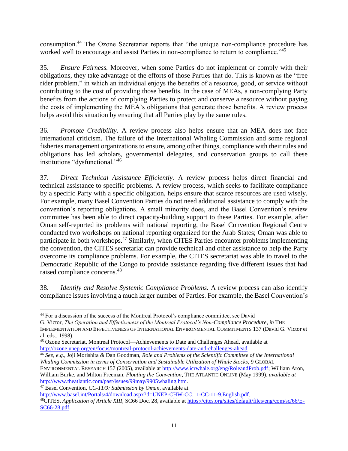consumption.<sup>44</sup> The Ozone Secretariat reports that "the unique non-compliance procedure has worked well to encourage and assist Parties in non-compliance to return to compliance."<sup>45</sup>

35. *Ensure Fairness.* Moreover, when some Parties do not implement or comply with their obligations, they take advantage of the efforts of those Parties that do. This is known as the "free rider problem," in which an individual enjoys the benefits of a resource, good, or service without contributing to the cost of providing those benefits. In the case of MEAs, a non-complying Party benefits from the actions of complying Parties to protect and conserve a resource without paying the costs of implementing the MEA's obligations that generate those benefits. A review process helps avoid this situation by ensuring that all Parties play by the same rules.

36. *Promote Credibility.* A review process also helps ensure that an MEA does not face international criticism. The failure of the International Whaling Commission and some regional fisheries management organizations to ensure, among other things, compliance with their rules and obligations has led scholars, governmental delegates, and conservation groups to call these institutions "dysfunctional."<sup>46</sup>

37. *Direct Technical Assistance Efficiently.* A review process helps direct financial and technical assistance to specific problems. A review process, which seeks to facilitate compliance by a specific Party with a specific obligation, helps ensure that scarce resources are used wisely. For example, many Basel Convention Parties do not need additional assistance to comply with the convention's reporting obligations. A small minority does, and the Basel Convention's review committee has been able to direct capacity-building support to these Parties. For example, after Oman self-reported its problems with national reporting, the Basel Convention Regional Centre conducted two workshops on national reporting organized for the Arab States; Oman was able to participate in both workshops.<sup>47</sup> Similarly, when CITES Parties encounter problems implementing the convention, the CITES secretariat can provide technical and other assistance to help the Party overcome its compliance problems. For example, the CITES secretariat was able to travel to the Democratic Republic of the Congo to provide assistance regarding five different issues that had raised compliance concerns.<sup>48</sup>

38. *Identify and Resolve Systemic Compliance Problems.* A review process can also identify compliance issues involving a much larger number of Parties. For example, the Basel Convention's

<sup>47</sup> Basel Convention, *CC-11/9: Submission by Oman*, available at

<sup>&</sup>lt;sup>44</sup> For a discussion of the success of the Montreal Protocol's compliance committee, see David

G. Victor, *The Operation and Effectiveness of the Montreal Protocol's Non-Compliance Procedure*, *in* THE IMPLEMENTATION AND EFFECTIVENESS OF INTERNATIONAL ENVIRONMENTAL COMMITMENTS 137 (David G. Victor et al. eds., 1998).

<sup>45</sup> Ozone Secretariat, Montreal Protocol—Achievements to Date and Challenges Ahead, available at [http://ozone.unep.org/en/focus/montreal-protocol-achievements-date-and-challenges-ahead.](http://ozone.unep.org/en/focus/montreal-protocol-achievements-date-and-challenges-ahead) 

<sup>46</sup> *See*, *e.g.*, Joji Morishita & Dan Goodman, *Role and Problems of the Scientific Committee of the International Whaling Commission in terms of Conservation and Sustainable Utilization of Whale Stocks*, 9 GLOBAL ENVIRONMENTAL RESEARCH 157 (2005), available a[t http://www.icrwhale.org/eng/RoleandProb.pdf;](http://www.icrwhale.org/eng/RoleandProb.pdf) William Aron,

William Burke, and Milton Freeman*, Flouting the Convention*, THE ATLANTIC ONLINE (May 1999), *available at* [http://www.theatlantic.com/past/issues/99may/9905whaling.htm.](http://www.theatlantic.com/past/issues/99may/9905whaling.htm)

[http://www.basel.int/Portals/4/download.aspx?d=UNEP-CHW-CC.11-CC-11-9.English.pdf.](http://www.basel.int/Portals/4/download.aspx?d=UNEP-CHW-CC.11-CC-11-9.English.pdf)

<sup>&</sup>lt;sup>48</sup>CITES, *Application of Article XIII*, SC66 Doc. 28, available at [https://cites.org/sites/default/files/eng/com/sc/66/E-](https://cites.org/sites/default/files/eng/com/sc/66/E-SC66-28.pdf)[SC66-28.pdf.](https://cites.org/sites/default/files/eng/com/sc/66/E-SC66-28.pdf)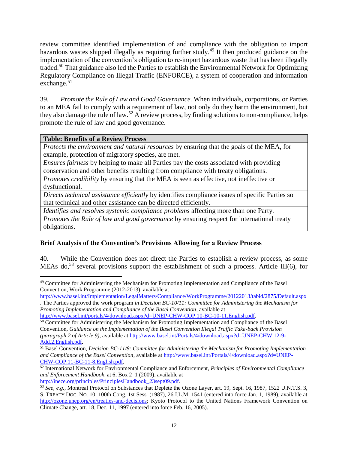review committee identified implementation of and compliance with the obligation to import hazardous wastes shipped illegally as requiring further study.<sup>49</sup> It then produced guidance on the implementation of the convention's obligation to re-import hazardous waste that has been illegally traded.<sup>50</sup> That guidance also led the Parties to establish the Environmental Network for Optimizing Regulatory Compliance on Illegal Traffic (ENFORCE), a system of cooperation and information exchange. $51$ 

39. *Promote the Rule of Law and Good Governance.* When individuals, corporations, or Parties to an MEA fail to comply with a requirement of law, not only do they harm the environment, but they also damage the rule of law.<sup>52</sup> A review process, by finding solutions to non-compliance, helps promote the rule of law and good governance.

### **Table: Benefits of a Review Process**

 $\overline{a}$ 

*Protects the environment and natural resources* by ensuring that the goals of the MEA, for example, protection of migratory species, are met.

*Ensures fairness* by helping to make all Parties pay the costs associated with providing conservation and other benefits resulting from compliance with treaty obligations.

*Promotes credibility* by ensuring that the MEA is seen as effective, not ineffective or dysfunctional.

*Directs technical assistance efficiently* by identifies compliance issues of specific Parties so that technical and other assistance can be directed efficiently.

*Identifies and resolves systemic compliance problems* affecting more than one Party.

*Promotes the Rule of law and good governance* by ensuring respect for international treaty obligations.

# **Brief Analysis of the Convention's Provisions Allowing for a Review Process**

40. While the Convention does not direct the Parties to establish a review process, as some MEAs do,<sup>53</sup> several provisions support the establishment of such a process. Article III(6), for

*Promoting Implementation and Compliance of the Basel Convention*, available at

<sup>49</sup> Committee for Administering the Mechanism for Promoting Implementation and Compliance of the Basel Convention, Work Programme (2012-2013), available at

<http://www.basel.int/Implementation/LegalMatters/Compliance/WorkProgramme/20122013/tabid/2875/Default.aspx> . The Parties approved the work program *in Decision BC-10/11: Committee for Administering the Mechanism for* 

[http://www.basel.int/portals/4/download.aspx?d=UNEP-CHW-COP.10-BC-10-11.English.pdf.](http://www.basel.int/portals/4/download.aspx?d=UNEP-CHW-COP.10-BC-10-11.English.pdf) <sup>50</sup> Committee for Administering the Mechanism for Promoting Implementation and Compliance of the Basel Convention, *Guidance on the Implementation of the Basel Convention Illegal Traffic Take-back Provision (paragraph 2 of Article 9)*, available at [http://www.basel.int/Portals/4/download.aspx?d=UNEP-CHW.12-9-](http://www.basel.int/Portals/4/download.aspx?d=UNEP-CHW.12-9-Add.2.English.pdf) [Add.2.English.pdf.](http://www.basel.int/Portals/4/download.aspx?d=UNEP-CHW.12-9-Add.2.English.pdf)

<sup>51</sup> Basel Convention, *Decision BC-11/8: Committee for Administering the Mechanism for Promoting Implementation and Compliance of the Basel Convention*, available at [http://www.basel.int/Portals/4/download.aspx?d=UNEP-](http://www.basel.int/Portals/4/download.aspx?d=UNEP-CHW-COP.11-BC-11-8.English.pdf)[CHW-COP.11-BC-11-8.English.pdf.](http://www.basel.int/Portals/4/download.aspx?d=UNEP-CHW-COP.11-BC-11-8.English.pdf) 

<sup>52</sup> International Network for Environmental Compliance and Enforcement, *Principles of Environmental Compliance and Enforcement Handbook*, at 6, Box 2–1 (2009), available at [http://inece.org/principles/PrinciplesHandbook\\_23sept09.pdf.](http://inece.org/principles/PrinciplesHandbook_23sept09.pdf)

<sup>53</sup> *See*, *e.g.*, Montreal Protocol on Substances that Deplete the Ozone Layer, art. 19, Sept. 16, 1987, 1522 U.N.T.S. 3, S. TREATY DOC. NO. 10, 100th Cong. 1st Sess. (1987), 26 I.L.M. 1541 (entered into force Jan. 1, 1989), available at [http://ozone.unep.org/en/treaties-and-decisions;](http://ozone.unep.org/en/treaties-and-decisions) Kyoto Protocol to the United Nations Framework Convention on Climate Change, art. 18, Dec. 11, 1997 (entered into force Feb. 16, 2005).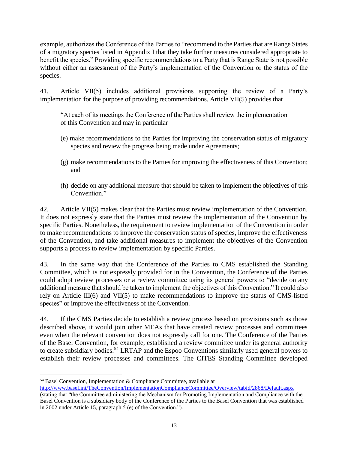example, authorizes the Conference of the Parties to "recommend to the Parties that are Range States of a migratory species listed in Appendix I that they take further measures considered appropriate to benefit the species." Providing specific recommendations to a Party that is Range State is not possible without either an assessment of the Party's implementation of the Convention or the status of the species.

41. Article VII(5) includes additional provisions supporting the review of a Party's implementation for the purpose of providing recommendations. Article VII(5) provides that

"At each of its meetings the Conference of the Parties shall review the implementation of this Convention and may in particular

- (e) make recommendations to the Parties for improving the conservation status of migratory species and review the progress being made under Agreements;
- (g) make recommendations to the Parties for improving the effectiveness of this Convention; and
- (h) decide on any additional measure that should be taken to implement the objectives of this Convention<sup>"</sup>

42. Article VII(5) makes clear that the Parties must review implementation of the Convention. It does not expressly state that the Parties must review the implementation of the Convention by specific Parties. Nonetheless, the requirement to review implementation of the Convention in order to make recommendations to improve the conservation status of species, improve the effectiveness of the Convention, and take additional measures to implement the objectives of the Convention supports a process to review implementation by specific Parties.

43. In the same way that the Conference of the Parties to CMS established the Standing Committee, which is not expressly provided for in the Convention, the Conference of the Parties could adopt review processes or a review committee using its general powers to "decide on any additional measure that should be taken to implement the objectives of this Convention." It could also rely on Article III(6) and VII(5) to make recommendations to improve the status of CMS-listed species" or improve the effectiveness of the Convention.

44. If the CMS Parties decide to establish a review process based on provisions such as those described above, it would join other MEAs that have created review processes and committees even when the relevant convention does not expressly call for one. The Conference of the Parties of the Basel Convention, for example, established a review committee under its general authority to create subsidiary bodies.<sup>54</sup> LRTAP and the Espoo Conventions similarly used general powers to establish their review processes and committees. The CITES Standing Committee developed

<http://www.basel.int/TheConvention/ImplementationComplianceCommittee/Overview/tabid/2868/Default.aspx> (stating that "the Committee administering the Mechanism for Promoting Implementation and Compliance with the Basel Convention is a subsidiary body of the Conference of the Parties to the Basel Convention that was established

 $\overline{a}$ <sup>54</sup> Basel Convention, Implementation & Compliance Committee, available at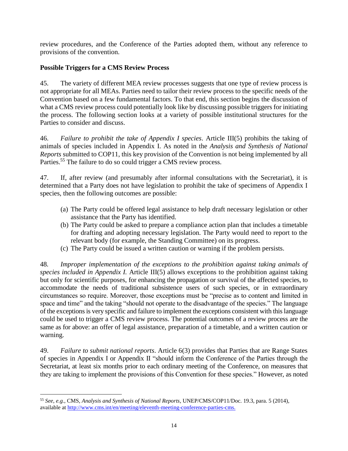review procedures, and the Conference of the Parties adopted them, without any reference to provisions of the convention.

# **Possible Triggers for a CMS Review Process**

45. The variety of different MEA review processes suggests that one type of review process is not appropriate for all MEAs. Parties need to tailor their review process to the specific needs of the Convention based on a few fundamental factors. To that end, this section begins the discussion of what a CMS review process could potentially look like by discussing possible triggers for initiating the process. The following section looks at a variety of possible institutional structures for the Parties to consider and discuss.

46. *Failure to prohibit the take of Appendix I species*. Article III(5) prohibits the taking of animals of species included in Appendix I. As noted in the *Analysis and Synthesis of National Reports* submitted to COP11, this key provision of the Convention is not being implemented by all Parties.<sup>55</sup> The failure to do so could trigger a CMS review process.

47. If, after review (and presumably after informal consultations with the Secretariat), it is determined that a Party does not have legislation to prohibit the take of specimens of Appendix I species, then the following outcomes are possible:

- (a) The Party could be offered legal assistance to help draft necessary legislation or other assistance that the Party has identified.
- (b) The Party could be asked to prepare a compliance action plan that includes a timetable for drafting and adopting necessary legislation. The Party would need to report to the relevant body (for example, the Standing Committee) on its progress.
- (c) The Party could be issued a written caution or warning if the problem persists.

48. *Improper implementation of the exceptions to the prohibition against taking animals of species included in Appendix I.* Article III(5) allows exceptions to the prohibition against taking but only for scientific purposes, for enhancing the propagation or survival of the affected species, to accommodate the needs of traditional subsistence users of such species, or in extraordinary circumstances so require. Moreover, those exceptions must be "precise as to content and limited in space and time" and the taking "should not operate to the disadvantage of the species." The language of the exceptions is very specific and failure to implement the exceptions consistent with this language could be used to trigger a CMS review process. The potential outcomes of a review process are the same as for above: an offer of legal assistance, preparation of a timetable, and a written caution or warning.

49. *Failure to submit national reports*. Article 6(3) provides that Parties that are Range States of species in Appendix I or Appendix II "should inform the Conference of the Parties through the Secretariat, at least six months prior to each ordinary meeting of the Conference, on measures that they are taking to implement the provisions of this Convention for these species." However, as noted

<sup>55</sup> *See*, *e.g.*, CMS*, Analysis and Synthesis of National Reports*, UNEP/CMS/COP11/Doc. 19.3, para. 5 (2014), available at [http://www.cms.int/en/meeting/eleventh-meeting-conference-parties-cms.](http://www.cms.int/en/meeting/eleventh-meeting-conference-parties-cms)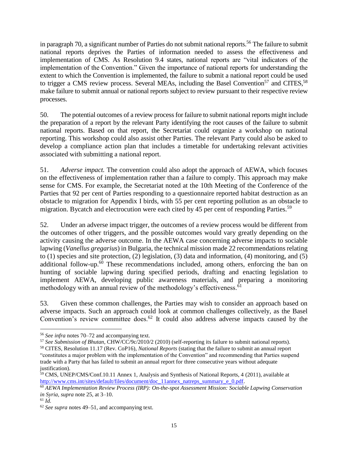in paragraph 70, a significant number of Parties do not submit national reports.<sup>56</sup> The failure to submit national reports deprives the Parties of information needed to assess the effectiveness and implementation of CMS. As Resolution 9.4 states, national reports are "vital indicators of the implementation of the Convention." Given the importance of national reports for understanding the extent to which the Convention is implemented, the failure to submit a national report could be used to trigger a CMS review process. Several MEAs, including the Basel Convention<sup>57</sup> and CITES,<sup>58</sup> make failure to submit annual or national reports subject to review pursuant to their respective review processes.

50. The potential outcomes of a review process for failure to submit national reports might include the preparation of a report by the relevant Party identifying the root causes of the failure to submit national reports. Based on that report, the Secretariat could organize a workshop on national reporting. This workshop could also assist other Parties. The relevant Party could also be asked to develop a compliance action plan that includes a timetable for undertaking relevant activities associated with submitting a national report.

51. *Adverse impact.* The convention could also adopt the approach of AEWA, which focuses on the effectiveness of implementation rather than a failure to comply. This approach may make sense for CMS. For example, the Secretariat noted at the 10th Meeting of the Conference of the Parties that 92 per cent of Parties responding to a questionnaire reported habitat destruction as an obstacle to migration for Appendix I birds, with 55 per cent reporting pollution as an obstacle to migration. Bycatch and electrocution were each cited by 45 per cent of responding Parties.<sup>59</sup>

52. Under an adverse impact trigger, the outcomes of a review process would be different from the outcomes of other triggers, and the possible outcomes would vary greatly depending on the activity causing the adverse outcome. In the AEWA case concerning adverse impacts to sociable lapwing (*Vanellus gregarius*) in Bulgaria, the technical mission made 22 recommendations relating to (1) species and site protection, (2) legislation, (3) data and information, (4) monitoring, and (5) additional follow-up. $60$  These recommendations included, among others, enforcing the ban on hunting of sociable lapwing during specified periods, drafting and enacting legislation to implement AEWA, developing public awareness materials, and preparing a monitoring methodology with an annual review of the methodology's effectiveness.<sup>61</sup>

53. Given these common challenges, the Parties may wish to consider an approach based on adverse impacts. Such an approach could look at common challenges collectively, as the Basel Convention's review committee does.<sup>62</sup> It could also address adverse impacts caused by the

<sup>56</sup> *See infra* notes 70–72 and accompanying text.

<sup>57</sup> *See Submission of Bhutan*, CHW/CC/9c/2010/2 (2010) (self-reporting its failure to submit national reports).

<sup>58</sup> CITES, Resolution 11.17 (Rev. CoP16), *National Reports* (stating that the failure to submit an annual report "constitutes a major problem with the implementation of the Convention" and recommending that Parties suspend trade with a Party that has failed to submit an annual report for three consecutive years without adequate justification).

<sup>59</sup> CMS, UNEP/CMS/Conf.10.11 Annex 1, Analysis and Synthesis of National Reports, 4 (2011), available at [http://www.cms.int/sites/default/files/document/doc\\_11annex\\_natreps\\_summary\\_e\\_0.pdf.](http://www.cms.int/sites/default/files/document/doc_11annex_natreps_summary_e_0.pdf)

<sup>60</sup> *AEWA Implementation Review Process (IRP): On-the-spot Assessment Mission: Sociable Lapwing Conservation in Syria*, *supra* note 25, at 3–10.

 $61$  *Id.* 

<sup>62</sup> *See supra* notes 49–51, and accompanying text.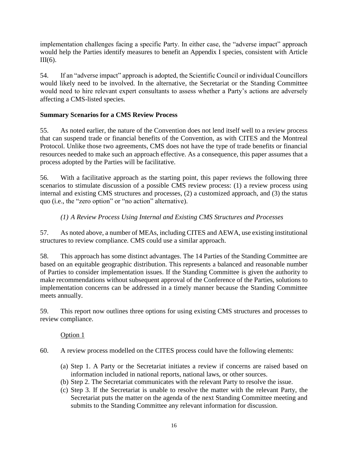implementation challenges facing a specific Party. In either case, the "adverse impact" approach would help the Parties identify measures to benefit an Appendix I species, consistent with Article  $III(6)$ .

54. If an "adverse impact" approach is adopted, the Scientific Council or individual Councillors would likely need to be involved. In the alternative, the Secretariat or the Standing Committee would need to hire relevant expert consultants to assess whether a Party's actions are adversely affecting a CMS-listed species.

# **Summary Scenarios for a CMS Review Process**

55. As noted earlier, the nature of the Convention does not lend itself well to a review process that can suspend trade or financial benefits of the Convention, as with CITES and the Montreal Protocol. Unlike those two agreements, CMS does not have the type of trade benefits or financial resources needed to make such an approach effective. As a consequence, this paper assumes that a process adopted by the Parties will be facilitative.

56. With a facilitative approach as the starting point, this paper reviews the following three scenarios to stimulate discussion of a possible CMS review process: (1) a review process using internal and existing CMS structures and processes, (2) a customized approach, and (3) the status quo (i.e., the "zero option" or "no action" alternative).

# *(1) A Review Process Using Internal and Existing CMS Structures and Processes*

57. As noted above, a number of MEAs, including CITES and AEWA, use existing institutional structures to review compliance. CMS could use a similar approach.

58. This approach has some distinct advantages. The 14 Parties of the Standing Committee are based on an equitable geographic distribution. This represents a balanced and reasonable number of Parties to consider implementation issues. If the Standing Committee is given the authority to make recommendations without subsequent approval of the Conference of the Parties, solutions to implementation concerns can be addressed in a timely manner because the Standing Committee meets annually.

59. This report now outlines three options for using existing CMS structures and processes to review compliance.

# Option 1

60. A review process modelled on the CITES process could have the following elements:

- (a) Step 1. A Party or the Secretariat initiates a review if concerns are raised based on information included in national reports, national laws, or other sources.
- (b) Step 2. The Secretariat communicates with the relevant Party to resolve the issue.
- (c) Step 3. If the Secretariat is unable to resolve the matter with the relevant Party, the Secretariat puts the matter on the agenda of the next Standing Committee meeting and submits to the Standing Committee any relevant information for discussion.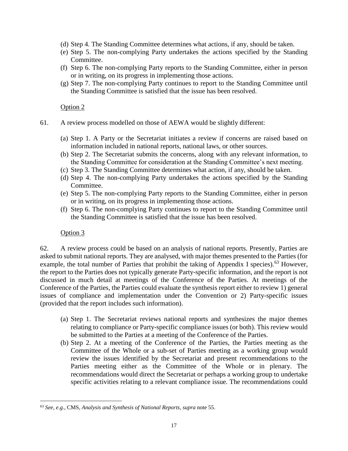- (d) Step 4. The Standing Committee determines what actions, if any, should be taken.
- (e) Step 5. The non-complying Party undertakes the actions specified by the Standing Committee.
- (f) Step 6. The non-complying Party reports to the Standing Committee, either in person or in writing, on its progress in implementing those actions.
- (g) Step 7. The non-complying Party continues to report to the Standing Committee until the Standing Committee is satisfied that the issue has been resolved.

#### Option 2

- 61. A review process modelled on those of AEWA would be slightly different:
	- (a) Step 1. A Party or the Secretariat initiates a review if concerns are raised based on information included in national reports, national laws, or other sources.
	- (b) Step 2. The Secretariat submits the concerns, along with any relevant information, to the Standing Committee for consideration at the Standing Committee's next meeting.
	- (c) Step 3. The Standing Committee determines what action, if any, should be taken.
	- (d) Step 4. The non-complying Party undertakes the actions specified by the Standing Committee.
	- (e) Step 5. The non-complying Party reports to the Standing Committee, either in person or in writing, on its progress in implementing those actions.
	- (f) Step 6. The non-complying Party continues to report to the Standing Committee until the Standing Committee is satisfied that the issue has been resolved.

#### Option 3

 $\overline{a}$ 

62. A review process could be based on an analysis of national reports. Presently, Parties are asked to submit national reports. They are analysed, with major themes presented to the Parties (for example, the total number of Parties that prohibit the taking of Appendix I species).<sup>63</sup> However, the report to the Parties does not typically generate Party-specific information, and the report is not discussed in much detail at meetings of the Conference of the Parties. At meetings of the Conference of the Parties, the Parties could evaluate the synthesis report either to review 1) general issues of compliance and implementation under the Convention or 2) Party-specific issues (provided that the report includes such information).

- (a) Step 1. The Secretariat reviews national reports and synthesizes the major themes relating to compliance or Party-specific compliance issues (or both). This review would be submitted to the Parties at a meeting of the Conference of the Parties.
- (b) Step 2. At a meeting of the Conference of the Parties, the Parties meeting as the Committee of the Whole or a sub-set of Parties meeting as a working group would review the issues identified by the Secretariat and present recommendations to the Parties meeting either as the Committee of the Whole or in plenary. The recommendations would direct the Secretariat or perhaps a working group to undertake specific activities relating to a relevant compliance issue. The recommendations could

<sup>63</sup> *See*, *e.g.*, CMS*, Analysis and Synthesis of National Reports*, *supra* note 55.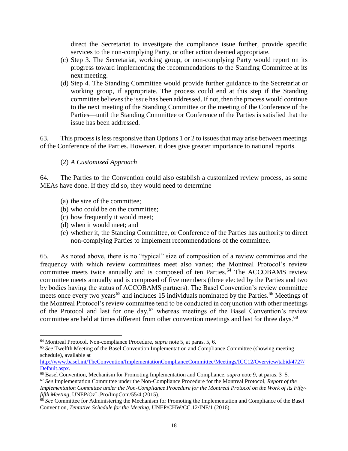direct the Secretariat to investigate the compliance issue further, provide specific services to the non-complying Party, or other action deemed appropriate.

- (c) Step 3. The Secretariat, working group, or non-complying Party would report on its progress toward implementing the recommendations to the Standing Committee at its next meeting.
- (d) Step 4. The Standing Committee would provide further guidance to the Secretariat or working group, if appropriate. The process could end at this step if the Standing committee believes the issue has been addressed. If not, then the process would continue to the next meeting of the Standing Committee or the meeting of the Conference of the Parties—until the Standing Committee or Conference of the Parties is satisfied that the issue has been addressed.

63. This process is less responsive than Options 1 or 2 to issues that may arise between meetings of the Conference of the Parties. However, it does give greater importance to national reports.

(2) *A Customized Approach* 

64. The Parties to the Convention could also establish a customized review process, as some MEAs have done. If they did so, they would need to determine

- (a) the size of the committee;
- (b) who could be on the committee;
- (c) how frequently it would meet;
- (d) when it would meet; and

 $\overline{a}$ 

(e) whether it, the Standing Committee, or Conference of the Parties has authority to direct non-complying Parties to implement recommendations of the committee.

65. As noted above, there is no "typical" size of composition of a review committee and the frequency with which review committees meet also varies; the Montreal Protocol's review committee meets twice annually and is composed of ten Parties.<sup>64</sup> The ACCOBAMS review committee meets annually and is composed of five members (three elected by the Parties and two by bodies having the status of ACCOBAMS partners). The Basel Convention's review committee meets once every two years<sup>65</sup> and includes 15 individuals nominated by the Parties.<sup>66</sup> Meetings of the Montreal Protocol's review committee tend to be conducted in conjunction with other meetings of the Protocol and last for one day,  $67$  whereas meetings of the Basel Convention's review committee are held at times different from other convention meetings and last for three days.<sup>68</sup>

<sup>64</sup> Montreal Protocol, Non-compliance Procedure, *supra* note 5, at paras. 5, 6.

<sup>&</sup>lt;sup>65</sup> See Twelfth Meeting of the Basel Convention Implementation and Compliance Committee (showing meeting schedule), available at

[http://www.basel.int/TheConvention/ImplementationComplianceCommittee/Meetings/ICC12/Overview/tabid/4727/](http://www.basel.int/TheConvention/ImplementationComplianceCommittee/Meetings/ICC12/Overview/tabid/4727/Default.aspx) [Default.aspx.](http://www.basel.int/TheConvention/ImplementationComplianceCommittee/Meetings/ICC12/Overview/tabid/4727/Default.aspx) 

<sup>66</sup> Basel Convention, Mechanism for Promoting Implementation and Compliance, *supra* note 9, at paras. 3–5.

<sup>67</sup> *See* Implementation Committee under the Non-Compliance Procedure for the Montreal Protocol, *Report of the Implementation Committee under the Non-Compliance Procedure for the Montreal Protocol on the Work of its Fiftyfifth Meeting*, UNEP/OzL.Pro/ImpCom/55/4 (2015).

<sup>&</sup>lt;sup>68</sup> See Committee for Administering the Mechanism for Promoting the Implementation and Compliance of the Basel Convention, *Tentative Schedule for the Meeting*, UNEP/CHW/CC.12/INF/1 (2016).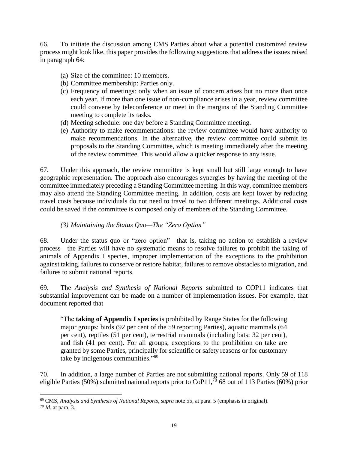66. To initiate the discussion among CMS Parties about what a potential customized review process might look like, this paper provides the following suggestions that address the issues raised in paragraph 64:

- (a) Size of the committee: 10 members.
- (b) Committee membership: Parties only.
- (c) Frequency of meetings: only when an issue of concern arises but no more than once each year. If more than one issue of non-compliance arises in a year, review committee could convene by teleconference or meet in the margins of the Standing Committee meeting to complete its tasks.
- (d) Meeting schedule: one day before a Standing Committee meeting.
- (e) Authority to make recommendations: the review committee would have authority to make recommendations. In the alternative, the review committee could submit its proposals to the Standing Committee, which is meeting immediately after the meeting of the review committee. This would allow a quicker response to any issue.

67. Under this approach, the review committee is kept small but still large enough to have geographic representation. The approach also encourages synergies by having the meeting of the committee immediately preceding a Standing Committee meeting. In this way, committee members may also attend the Standing Committee meeting. In addition, costs are kept lower by reducing travel costs because individuals do not need to travel to two different meetings. Additional costs could be saved if the committee is composed only of members of the Standing Committee.

## *(3) Maintaining the Status Quo—The "Zero Option"*

68. Under the status quo or "zero option"—that is, taking no action to establish a review process—the Parties will have no systematic means to resolve failures to prohibit the taking of animals of Appendix I species, improper implementation of the exceptions to the prohibition against taking, failures to conserve or restore habitat, failures to remove obstacles to migration, and failures to submit national reports.

69. The *Analysis and Synthesis of National Reports* submitted to COP11 indicates that substantial improvement can be made on a number of implementation issues. For example, that document reported that

"The **taking of Appendix I species** is prohibited by Range States for the following major groups: birds (92 per cent of the 59 reporting Parties), aquatic mammals (64 per cent), reptiles (51 per cent), terrestrial mammals (including bats; 32 per cent), and fish (41 per cent). For all groups, exceptions to the prohibition on take are granted by some Parties, principally for scientific or safety reasons or for customary take by indigenous communities."<sup>69</sup>

70. In addition, a large number of Parties are not submitting national reports. Only 59 of 118 eligible Parties (50%) submitted national reports prior to CoP11,<sup>70</sup> 68 out of 113 Parties (60%) prior

<sup>69</sup> CMS, *Analysis and Synthesis of National Reports*, *supra* note 55, at para. 5 (emphasis in original). <sup>70</sup> *Id.* at para. 3.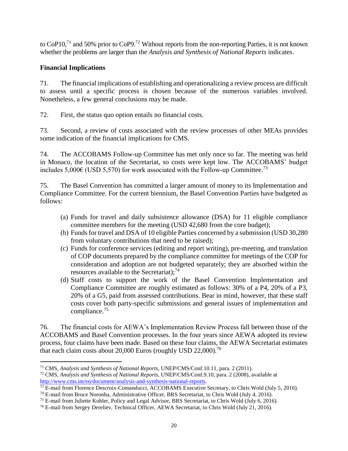to CoP10,<sup>71</sup> and 50% prior to CoP9.<sup>72</sup> Without reports from the non-reporting Parties, it is not known whether the problems are larger than the *Analysis and Synthesis of National Reports* indicates.

# **Financial Implications**

 $\overline{a}$ 

71. The financial implications of establishing and operationalizing a review process are difficult to assess until a specific process is chosen because of the numerous variables involved. Nonetheless, a few general conclusions may be made.

72. First, the status quo option entails no financial costs.

73. Second, a review of costs associated with the review processes of other MEAs provides some indication of the financial implications for CMS.

74. The ACCOBAMS Follow-up Committee has met only once so far. The meeting was held in Monaco, the location of the Secretariat, so costs were kept low. The ACCOBAMS' budget includes 5,000€ (USD 5,570) for work associated with the Follow-up Committee.<sup>73</sup>

75. The Basel Convention has committed a larger amount of money to its Implementation and Compliance Committee. For the current biennium, the Basel Convention Parties have budgeted as follows:

- (a) Funds for travel and daily subsistence allowance (DSA) for 11 eligible compliance committee members for the meeting (USD 42,680 from the core budget);
- (b) Funds for travel and DSA of 10 eligible Parties concerned by a submission (USD 30,280 from voluntary contributions that need to be raised);
- (c) Funds for conference services (editing and report writing), pre-meeting, and translation of COP documents prepared by the compliance committee for meetings of the COP for consideration and adoption are not budgeted separately; they are absorbed within the resources available to the Secretariat);  $74$
- (d) Staff costs to support the work of the Basel Convention Implementation and Compliance Committee are roughly estimated as follows: 30% of a P4, 20% of a P3, 20% of a G5, paid from assessed contributions. Bear in mind, however, that these staff costs cover both party-specific submissions and general issues of implementation and compliance.<sup>75</sup>

76. The financial costs for AEWA's Implementation Review Process fall between those of the ACCOBAMS and Basel Convention processes. In the four years since AEWA adopted its review process, four claims have been made. Based on these four claims, the AEWA Secretariat estimates that each claim costs about 20,000 Euros (roughly USD 22,000).<sup>76</sup>

<sup>71</sup> CMS, *Analysis and Synthesis of National Reports*, UNEP/CMS/Conf.10.11, para. 2 (2011).

<sup>72</sup> CMS, *Analysis and Synthesis of National Reports*, UNEP/CMS/Conf.9.10, para. 2 (2008), available at [http://www.cms.int/en/document/analysis-and-synthesis-national-reports.](http://www.cms.int/en/document/analysis-and-synthesis-national-reports)

<sup>&</sup>lt;sup>73</sup> E-mail from Florence Descroix-Comanducci, ACCOBAMS Executive Secretary, to Chris Wold (July 5, 2016).

<sup>74</sup> E-mail from Bruce Noronha, Administrative Officer, BRS Secretariat, to Chris Wold (July 4, 2016).

<sup>75</sup> E-mail from Juliette Kohler, Policy and Legal Advisor, BRS Secretariat, to Chris Wold (July 6, 2016).

<sup>76</sup> E-mail from Sergey Dereliev, Technical Officer, AEWA Secretariat, to Chris Wold (July 21, 2016).